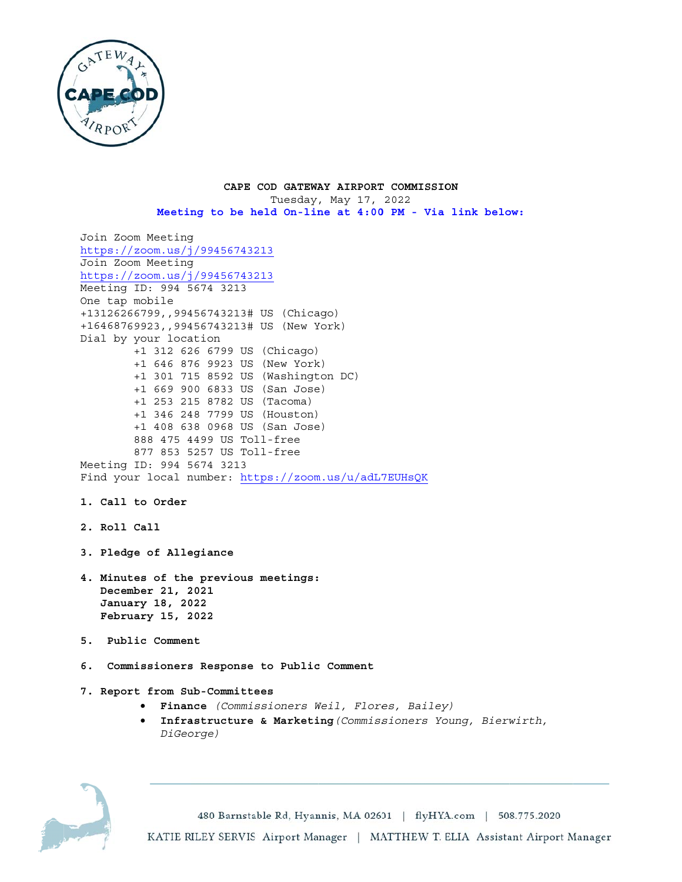

# CAPE COD GATEWAY AIRPORT COMMISSION Tuesday, May 17, 2022 Meeting to be held On-line at 4:00 PM - Via link below:

```
Join Zoom Meeting
https://zoom.us/j/99456743213Join Zoom Meeting
https://zoom.us/j/99456743213
Meeting ID: 994 5674 3213
One tap mobile
+13126266799,,99456743213# US (Chicago)
+16468769923,,99456743213# US (New York)
Dial by your location
        +1 312 626 6799 US (Chicago)
        +1 646 876 9923 US (New York)
        +1 301 715 8592 US (Washington DC)
        +1 669 900 6833 US (San Jose)
        +1 253 215 8782 US (Tacoma)
        +1 346 248 7799 US (Houston)
        +1 408 638 0968 US (San Jose)
        888 475 4499 US Toll-free
        877 853 5257 US Toll-free
Meeting ID: 994 5674 3213
Find your local number: https://zoom.us/u/adL7EUHsQK
1. Call to Order
```
- 2. Roll Call
- 3. Pledge of Allegiance
- 4. Minutes of the previous meetings: December 21, 2021 January 18, 2022 February 15, 2022
- 5. Public Comment
- 6. Commissioners Response to Public Comment
- 7. Report from Sub-Committees
	- Finance (Commissioners Weil, Flores, Bailey)
	- . Infrastructure & Marketing (Commissioners Young, Bierwirth, DiGeorge)

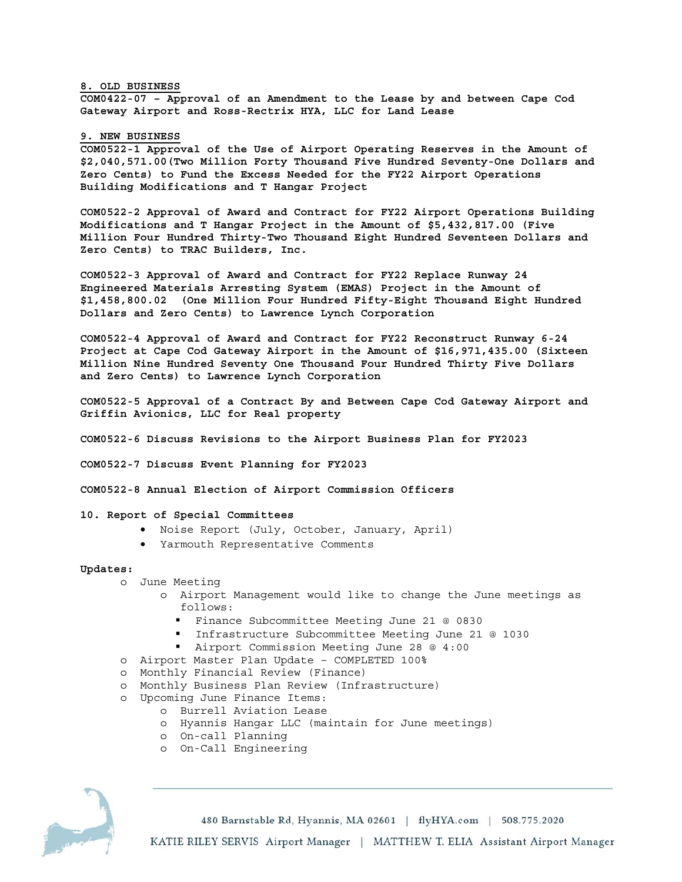## **8. OLD BUSINESS**

**COM0422-07 – Approval of an Amendment to the Lease by and between Cape Cod Gateway Airport and Ross-Rectrix HYA, LLC for Land Lease** 

# **9. NEW BUSINESS**

**COM0522-1 Approval of the Use of Airport Operating Reserves in the Amount of \$2,040,571.00(Two Million Forty Thousand Five Hundred Seventy-One Dollars and Zero Cents) to Fund the Excess Needed for the FY22 Airport Operations Building Modifications and T Hangar Project** 

**COM0522-2 Approval of Award and Contract for FY22 Airport Operations Building Modifications and T Hangar Project in the Amount of \$5,432,817.00 (Five Million Four Hundred Thirty-Two Thousand Eight Hundred Seventeen Dollars and Zero Cents) to TRAC Builders, Inc.** 

**COM0522-3 Approval of Award and Contract for FY22 Replace Runway 24 Engineered Materials Arresting System (EMAS) Project in the Amount of \$1,458,800.02 (One Million Four Hundred Fifty-Eight Thousand Eight Hundred Dollars and Zero Cents) to Lawrence Lynch Corporation** 

**COM0522-4 Approval of Award and Contract for FY22 Reconstruct Runway 6-24 Project at Cape Cod Gateway Airport in the Amount of \$16,971,435.00 (Sixteen Million Nine Hundred Seventy One Thousand Four Hundred Thirty Five Dollars and Zero Cents) to Lawrence Lynch Corporation** 

**COM0522-5 Approval of a Contract By and Between Cape Cod Gateway Airport and Griffin Avionics, LLC for Real property** 

**COM0522-6 Discuss Revisions to the Airport Business Plan for FY2023** 

**COM0522-7 Discuss Event Planning for FY2023** 

**COM0522-8 Annual Election of Airport Commission Officers** 

#### **10. Report of Special Committees**

- Noise Report (July, October, January, April)
- Yarmouth Representative Comments

## **Updates:**

- o June Meeting
	- o Airport Management would like to change the June meetings as follows:
		- **Finance Subcommittee Meeting June 21 @ 0830**
		- **Infrastructure Subcommittee Meeting June 21 @ 1030**
		- Airport Commission Meeting June 28 @ 4:00
- o Airport Master Plan Update COMPLETED 100%
- o Monthly Financial Review (Finance)
- o Monthly Business Plan Review (Infrastructure)
- o Upcoming June Finance Items:
	- o Burrell Aviation Lease
	- o Hyannis Hangar LLC (maintain for June meetings)
	- o On-call Planning
	- o On-Call Engineering

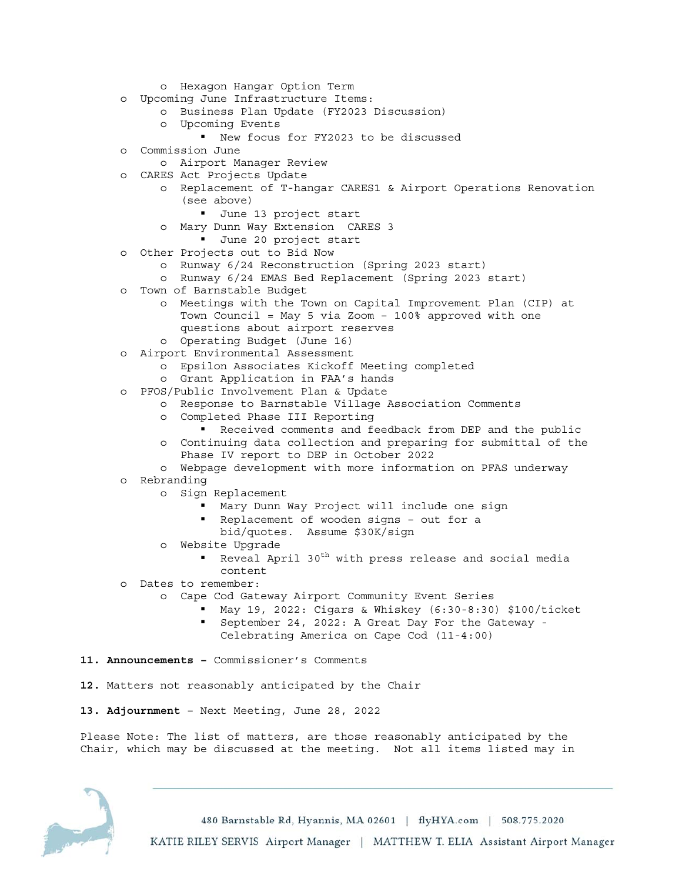- o Hexagon Hangar Option Term
- o Upcoming June Infrastructure Items:
	- o Business Plan Update (FY2023 Discussion)
	- o Upcoming Events
		- New focus for FY2023 to be discussed
- o Commission June
- o Airport Manager Review
- o CARES Act Projects Update
	- o Replacement of T-hangar CARES1 & Airport Operations Renovation (see above)
		- June 13 project start
	- o Mary Dunn Way Extension CARES 3
	- Uune 20 project start
- o Other Projects out to Bid Now
	- o Runway 6/24 Reconstruction (Spring 2023 start)
	- o Runway 6/24 EMAS Bed Replacement (Spring 2023 start)
- o Town of Barnstable Budget
	- o Meetings with the Town on Capital Improvement Plan (CIP) at Town Council = May 5 via Zoom – 100% approved with one questions about airport reserves
	- o Operating Budget (June 16)
- o Airport Environmental Assessment
	- o Epsilon Associates Kickoff Meeting completed
	- o Grant Application in FAA's hands
- o PFOS/Public Involvement Plan & Update
	- o Response to Barnstable Village Association Comments
	- o Completed Phase III Reporting
		- Received comments and feedback from DEP and the public
	- o Continuing data collection and preparing for submittal of the Phase IV report to DEP in October 2022
	- o Webpage development with more information on PFAS underway
- o Rebranding
	- o Sign Replacement
		- Mary Dunn Way Project will include one sign
		- Replacement of wooden signs out for a bid/quotes. Assume \$30K/sign
	- o Website Upgrade
		- Reveal April 30<sup>th</sup> with press release and social media content
- o Dates to remember:
	- o Cape Cod Gateway Airport Community Event Series
		- May 19, 2022: Cigars & Whiskey (6:30-8:30) \$100/ticket
		- September 24, 2022: A Great Day For the Gateway Celebrating America on Cape Cod (11-4:00)
- **11. Announcements** Commissioner's Comments
- **12.** Matters not reasonably anticipated by the Chair
- **13. Adjournment** Next Meeting, June 28, 2022

Please Note: The list of matters, are those reasonably anticipated by the Chair, which may be discussed at the meeting. Not all items listed may in

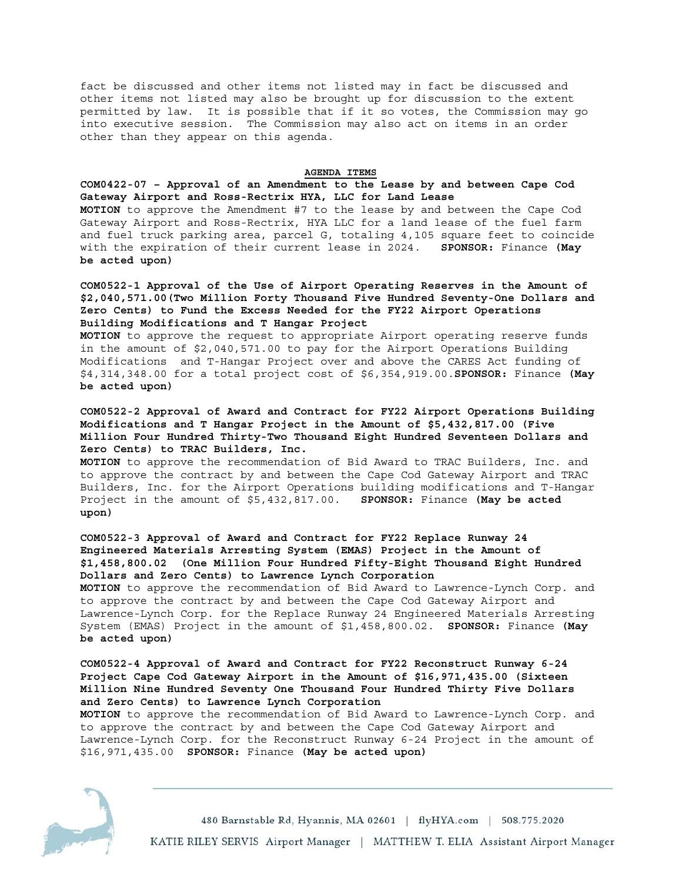fact be discussed and other items not listed may in fact be discussed and other items not listed may also be brought up for discussion to the extent permitted by law. It is possible that if it so votes, the Commission may go into executive session. The Commission may also act on items in an order other than they appear on this agenda.

## **AGENDA ITEMS**

**COM0422-07 – Approval of an Amendment to the Lease by and between Cape Cod Gateway Airport and Ross-Rectrix HYA, LLC for Land Lease** 

**MOTION** to approve the Amendment #7 to the lease by and between the Cape Cod Gateway Airport and Ross-Rectrix, HYA LLC for a land lease of the fuel farm and fuel truck parking area, parcel G, totaling 4,105 square feet to coincide with the expiration of their current lease in 2024. **SPONSOR:** Finance **(May be acted upon)** 

**COM0522-1 Approval of the Use of Airport Operating Reserves in the Amount of \$2,040,571.00(Two Million Forty Thousand Five Hundred Seventy-One Dollars and Zero Cents) to Fund the Excess Needed for the FY22 Airport Operations Building Modifications and T Hangar Project** 

**MOTION** to approve the request to appropriate Airport operating reserve funds in the amount of \$2,040,571.00 to pay for the Airport Operations Building Modifications and T-Hangar Project over and above the CARES Act funding of \$4,314,348.00 for a total project cost of \$6,354,919.00.**SPONSOR:** Finance **(May be acted upon)**

**COM0522-2 Approval of Award and Contract for FY22 Airport Operations Building Modifications and T Hangar Project in the Amount of \$5,432,817.00 (Five Million Four Hundred Thirty-Two Thousand Eight Hundred Seventeen Dollars and Zero Cents) to TRAC Builders, Inc.** 

**MOTION** to approve the recommendation of Bid Award to TRAC Builders, Inc. and to approve the contract by and between the Cape Cod Gateway Airport and TRAC Builders, Inc. for the Airport Operations building modifications and T-Hangar Project in the amount of \$5,432,817.00. **SPONSOR:** Finance **(May be acted upon)**

**COM0522-3 Approval of Award and Contract for FY22 Replace Runway 24 Engineered Materials Arresting System (EMAS) Project in the Amount of \$1,458,800.02 (One Million Four Hundred Fifty-Eight Thousand Eight Hundred Dollars and Zero Cents) to Lawrence Lynch Corporation** 

**MOTION** to approve the recommendation of Bid Award to Lawrence-Lynch Corp. and to approve the contract by and between the Cape Cod Gateway Airport and Lawrence-Lynch Corp. for the Replace Runway 24 Engineered Materials Arresting System (EMAS) Project in the amount of \$1,458,800.02. **SPONSOR:** Finance **(May be acted upon)**

# **COM0522-4 Approval of Award and Contract for FY22 Reconstruct Runway 6-24 Project Cape Cod Gateway Airport in the Amount of \$16,971,435.00 (Sixteen Million Nine Hundred Seventy One Thousand Four Hundred Thirty Five Dollars and Zero Cents) to Lawrence Lynch Corporation**

**MOTION** to approve the recommendation of Bid Award to Lawrence-Lynch Corp. and to approve the contract by and between the Cape Cod Gateway Airport and Lawrence-Lynch Corp. for the Reconstruct Runway 6-24 Project in the amount of \$16,971,435.00 **SPONSOR:** Finance **(May be acted upon)**